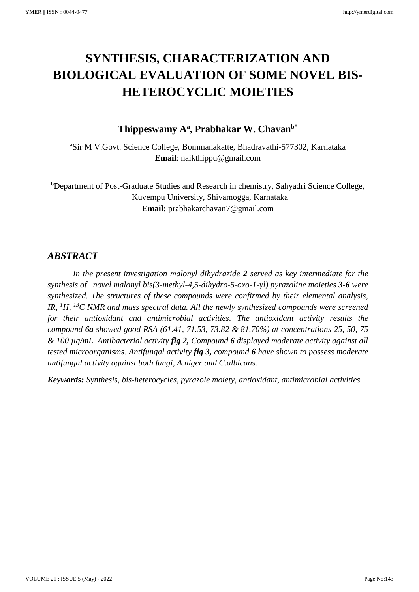# **SYNTHESIS, CHARACTERIZATION AND BIOLOGICAL EVALUATION OF SOME NOVEL BIS-HETEROCYCLIC MOIETIES**

# **Thippeswamy A<sup>a</sup> , Prabhakar W. Chavanb\***

<sup>a</sup>Sir M V.Govt. Science College, Bommanakatte, Bhadravathi-577302, Karnataka **Email**: naikthippu@gmail.com

**bDepartment of Post-Graduate Studies and Research in chemistry, Sahyadri Science College,**  Kuvempu University, Shivamogga, Karnataka **Email:** prabhakarchavan7@gmail.com

# *ABSTRACT*

*In the present investigation malonyl dihydrazide 2 served as key intermediate for the synthesis of novel malonyl bis(3-methyl-4,5-dihydro-5-oxo-1-yl) pyrazoline moieties 3-6 were synthesized. The structures of these compounds were confirmed by their elemental analysis, IR, <sup>1</sup>H, <sup>13</sup>C NMR and mass spectral data. All the newly synthesized compounds were screened for their antioxidant and antimicrobial activities. The antioxidant activity results the compound 6a showed good RSA (61.41, 71.53, 73.82 & 81.70%) at concentrations 25, 50, 75 & 100 µg/mL. Antibacterial activity fig 2, Compound 6 displayed moderate activity against all tested microorganisms. Antifungal activity fig 3, compound 6 have shown to possess moderate antifungal activity against both fungi, A.niger and C.albicans.* 

*Keywords: Synthesis, bis-heterocycles, pyrazole moiety, antioxidant, antimicrobial activities*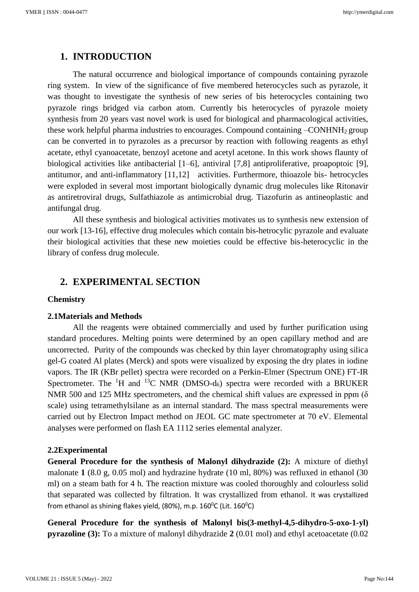# **1. INTRODUCTION**

The natural occurrence and biological importance of compounds containing pyrazole ring system. In view of the significance of five membered heterocycles such as pyrazole, it was thought to investigate the synthesis of new series of bis heterocycles containing two pyrazole rings bridged via carbon atom. Currently bis heterocycles of pyrazole moiety synthesis from 20 years vast novel work is used for biological and pharmacological activities, these work helpful pharma industries to encourages. Compound containing –CONHNH2 group can be converted in to pyrazoles as a precursor by reaction with following reagents as ethyl acetate, ethyl cyanoacetate, benzoyl acetone and acetyl acetone. In this work shows flaunty of biological activities like antibacterial [1–6], antiviral [7,8] antiproliferative, proapoptoic [9], antitumor, and anti-inflammatory [11,12] activities. Furthermore, thioazole bis- hetrocycles were exploded in several most important biologically dynamic drug molecules like Ritonavir as antiretroviral drugs, Sulfathiazole as antimicrobial drug. Tiazofurin as antineoplastic and antifungal drug.

All these synthesis and biological activities motivates us to synthesis new extension of our work [13-16], effective drug molecules which contain bis-hetrocylic pyrazole and evaluate their biological activities that these new moieties could be effective bis-heterocyclic in the library of confess drug molecule.

# **2. EXPERIMENTAL SECTION**

#### **Chemistry**

## **2.1Materials and Methods**

All the reagents were obtained commercially and used by further purification using standard procedures. Melting points were determined by an open capillary method and are uncorrected. Purity of the compounds was checked by thin layer chromatography using silica gel-G coated Al plates (Merck) and spots were visualized by exposing the dry plates in iodine vapors. The IR (KBr pellet) spectra were recorded on a Perkin-Elmer (Spectrum ONE) FT-IR Spectrometer. The <sup>1</sup>H and <sup>13</sup>C NMR (DMSO-d<sub>6</sub>) spectra were recorded with a BRUKER NMR 500 and 125 MHz spectrometers, and the chemical shift values are expressed in ppm (δ scale) using tetramethylsilane as an internal standard. The mass spectral measurements were carried out by Electron Impact method on JEOL GC mate spectrometer at 70 eV. Elemental analyses were performed on flash EA 1112 series elemental analyzer.

## **2.2Experimental**

**General Procedure for the synthesis of Malonyl dihydrazide (2):** A mixture of diethyl malonate **1** (8.0 g, 0.05 mol) and hydrazine hydrate (10 ml, 80%) was refluxed in ethanol (30 ml) on a steam bath for 4 h. The reaction mixture was cooled thoroughly and colourless solid that separated was collected by filtration. It was crystallized from ethanol. It was crystallized from ethanol as shining flakes yield,  $(80\%)$ , m.p. 160 $^{\circ}$ C (Lit. 160 $^{\circ}$ C)

**General Procedure for the synthesis of Malonyl bis(3-methyl-4,5-dihydro-5-oxo-1-yl) pyrazoline (3):** To a mixture of malonyl dihydrazide **2** (0.01 mol) and ethyl acetoacetate (0.02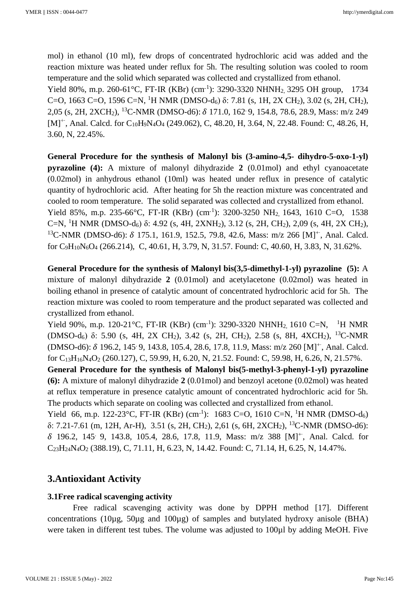mol) in ethanol (10 ml), few drops of concentrated hydrochloric acid was added and the reaction mixture was heated under reflux for 5h. The resulting solution was cooled to room temperature and the solid which separated was collected and crystallized from ethanol.

Yield 80%, m.p. 260-61 $^{\circ}$ C, FT-IR (KBr) (cm<sup>-1</sup>): 3290-3320 NHNH<sub>2</sub>, 3295 OH group, 1734 C=O, 1663 C=O, 1596 C=N, <sup>1</sup>H NMR (DMSO-d<sub>6</sub>) δ: 7.81 (s, 1H, 2X CH<sub>2</sub>), 3.02 (s, 2H, CH<sub>2</sub>), 2,05 (s, 2H, 2XCH<sub>2</sub>), <sup>13</sup>C-NMR (DMSO-d6): δ 171.0, 162<sup>.</sup> 9, 154.8, 78.6, 28.9, Mass: m/z 249 [M]<sup>++</sup>, Anal. Calcd. for C<sub>10</sub>H<sub>9</sub>N<sub>4</sub>O<sub>4</sub> (249.062), C, 48.20, H, 3.64, N, 22.48. Found: C, 48.26, H, 3.60, N, 22.45%.

**General Procedure for the synthesis of Malonyl bis (3-amino-4,5- dihydro-5-oxo-1-yl) pyrazoline (4):** A mixture of malonyl dihydrazide **2** (0.01mol) and ethyl cyanoacetate (0.02mol) in anhydrous ethanol (10ml) was heated under reflux in presence of catalytic quantity of hydrochloric acid. After heating for 5h the reaction mixture was concentrated and cooled to room temperature. The solid separated was collected and crystallized from ethanol. Yield 85%, m.p. 235-66°C, FT-IR (KBr) (cm<sup>-1</sup>): 3200-3250 NH<sub>2,</sub> 1643, 1610 C=O, 1538 C=N, <sup>1</sup>H NMR (DMSO-d<sub>6</sub>) δ: 4.92 (s, 4H, 2XNH<sub>2</sub>), 3.12 (s, 2H, CH<sub>2</sub>), 2,09 (s, 4H, 2X CH<sub>2</sub>), <sup>13</sup>C-NMR (DMSO-d6): δ 175.1, 161.9, 152.5, 79.8, 42.6, Mass: m/z 266 [M]<sup>+</sup>, Anal. Calcd. for C9H10N6O<sup>4</sup> (266.214), C, 40.61, H, 3.79, N, 31.57. Found: C, 40.60, H, 3.83, N, 31.62%.

**General Procedure for the synthesis of Malonyl bis(3,5-dimethyl-1-yl) pyrazoline (5):** A mixture of malonyl dihydrazide **2** (0.01mol) and acetylacetone (0.02mol) was heated in boiling ethanol in presence of catalytic amount of concentrated hydrochloric acid for 5h. The reaction mixture was cooled to room temperature and the product separated was collected and crystallized from ethanol.

Yield 90%, m.p. 120-21 °C, FT-IR (KBr) (cm<sup>-1</sup>): 3290-3320 NHNH<sub>2,</sub> 1610 C=N, <sup>1</sup>H NMR (DMSO-d<sub>6</sub>) δ: 5.90 (s, 4H, 2X CH<sub>2</sub>), 3.42 (s, 2H, CH<sub>2</sub>), 2.58 (s, 8H, 4XCH<sub>2</sub>), <sup>13</sup>C-NMR (DMSO-d6): δ 196.2, 145<sup>·</sup> 9, 143.8, 105.4, 28.6, 17.8, 11.9, Mass: m/z 260 [M]<sup>+</sup>, Anal. Calcd. for  $C_{13}H_{16}N_4O_2$  (260.127), C, 59.99, H, 6.20, N, 21.52. Found: C, 59.98, H, 6.26, N, 21.57%.

**General Procedure for the synthesis of Malonyl bis(5-methyl-3-phenyl-1-yl) pyrazoline (6):** A mixture of malonyl dihydrazide **2** (0.01mol) and benzoyl acetone (0.02mol) was heated at reflux temperature in presence catalytic amount of concentrated hydrochloric acid for 5h. The products which separate on cooling was collected and crystallized from ethanol.

Yield 66, m.p. 122-23°C, FT-IR (KBr) (cm<sup>-1</sup>): 1683 C=O, 1610 C=N, <sup>1</sup>H NMR (DMSO-d<sub>6</sub>) δ: 7.21-7.61 (m, 12H, Ar-H), 3.51 (s, 2H, CH2), 2,61 (s, 6H, 2XCH2), <sup>13</sup>C-NMR (DMSO-d6): 196.2, 145. 9, 143.8, 105.4, 28.6, 17.8, 11.9, Mass: m/z 388 [M]+∙ , Anal. Calcd. for  $C_{23}H_{24}N_{4}O_{2}$  (388.19), C, 71.11, H, 6.23, N, 14.42. Found: C, 71.14, H, 6.25, N, 14.47%.

# **3.Antioxidant Activity**

# **3.1Free radical scavenging activity**

Free radical scavenging activity was done by DPPH method [17]. Different concentrations (10µg, 50µg and 100µg) of samples and butylated hydroxy anisole (BHA) were taken in different test tubes. The volume was adjusted to 100 $\mu$ l by adding MeOH. Five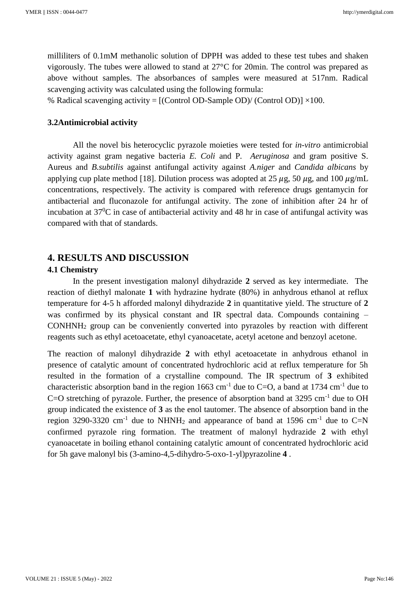milliliters of 0.1mM methanolic solution of DPPH was added to these test tubes and shaken vigorously. The tubes were allowed to stand at 27°C for 20min. The control was prepared as above without samples. The absorbances of samples were measured at 517nm. Radical scavenging activity was calculated using the following formula:

% Radical scavenging activity =  $[(\text{Control OD-Sample OD})/(\text{Control OD})] \times 100$ .

## **3.2Antimicrobial activity**

All the novel bis heterocyclic pyrazole moieties were tested for *in-vitro* antimicrobial activity against gram negative bacteria *E. Coli* and P*. Aeruginosa* and gram positive S. Aureus and *B.subtilis* against antifungal activity against *A.niger* and *Candida albicans* by applying cup plate method [18]. Dilution process was adopted at 25  $\mu$ g, 50  $\mu$ g, and 100  $\mu$ g/mL concentrations, respectively. The activity is compared with reference drugs gentamycin for antibacterial and fluconazole for antifungal activity. The zone of inhibition after 24 hr of incubation at  $37^0C$  in case of antibacterial activity and 48 hr in case of antifungal activity was compared with that of standards.

# **4. RESULTS AND DISCUSSION**

## **4.1 Chemistry**

In the present investigation malonyl dihydrazide **2** served as key intermediate. The reaction of diethyl malonate **1** with hydrazine hydrate (80%) in anhydrous ethanol at reflux temperature for 4-5 h afforded malonyl dihydrazide **2** in quantitative yield. The structure of **2** was confirmed by its physical constant and IR spectral data. Compounds containing – CONHNH<sup>2</sup> group can be conveniently converted into pyrazoles by reaction with different reagents such as ethyl acetoacetate, ethyl cyanoacetate, acetyl acetone and benzoyl acetone.

The reaction of malonyl dihydrazide **2** with ethyl acetoacetate in anhydrous ethanol in presence of catalytic amount of concentrated hydrochloric acid at reflux temperature for 5h resulted in the formation of a crystalline compound. The IR spectrum of **3** exhibited characteristic absorption band in the region  $1663 \text{ cm}^{-1}$  due to C=O, a band at 1734 cm<sup>-1</sup> due to C=O stretching of pyrazole. Further, the presence of absorption band at  $3295 \text{ cm}^{-1}$  due to OH group indicated the existence of **3** as the enol tautomer. The absence of absorption band in the region 3290-3320 cm<sup>-1</sup> due to NHNH<sub>2</sub> and appearance of band at 1596 cm<sup>-1</sup> due to C=N confirmed pyrazole ring formation. The treatment of malonyl hydrazide **2** with ethyl cyanoacetate in boiling ethanol containing catalytic amount of concentrated hydrochloric acid for 5h gave malonyl bis (3-amino-4,5-dihydro-5-oxo-1-yl)pyrazoline **4** .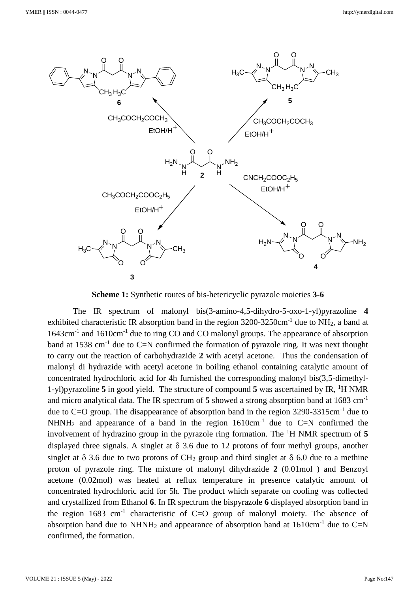

**Scheme 1:** Synthetic routes of bis-hetericyclic pyrazole moieties **3-6**

The IR spectrum of malonyl bis(3-amino-4,5-dihydro-5-oxo-1-yl)pyrazoline **4** exhibited characteristic IR absorption band in the region  $3200-3250$ cm<sup>-1</sup> due to NH<sub>2</sub>, a band at 1643cm<sup>-1</sup> and 1610cm<sup>-1</sup> due to ring CO and CO malonyl groups. The appearance of absorption band at 1538 cm<sup>-1</sup> due to C=N confirmed the formation of pyrazole ring. It was next thought to carry out the reaction of carbohydrazide **2** with acetyl acetone. Thus the condensation of malonyl di hydrazide with acetyl acetone in boiling ethanol containing catalytic amount of concentrated hydrochloric acid for 4h furnished the corresponding malonyl bis(3,5-dimethyl-1-yl)pyrazoline **5** in good yield. The structure of compound **5** was ascertained by IR, <sup>1</sup>H NMR and micro analytical data. The IR spectrum of **5** showed a strong absorption band at 1683 cm-1 due to  $C=O$  group. The disappearance of absorption band in the region 3290-3315cm<sup>-1</sup> due to NHNH<sub>2</sub> and appearance of a band in the region  $1610 \text{cm}^{-1}$  due to C=N confirmed the involvement of hydrazino group in the pyrazole ring formation. The <sup>1</sup>H NMR spectrum of **5**  displayed three signals. A singlet at  $\delta$  3.6 due to 12 protons of four methyl groups, another singlet at  $\delta$  3.6 due to two protons of CH<sub>2</sub> group and third singlet at  $\delta$  6.0 due to a methine proton of pyrazole ring. The mixture of malonyl dihydrazide **2** (0.01mol ) and Benzoyl acetone (0.02mol) was heated at reflux temperature in presence catalytic amount of concentrated hydrochloric acid for 5h. The product which separate on cooling was collected and crystallized from Ethanol **6**. In IR spectrum the bispyrazole **6** displayed absorption band in the region  $1683 \text{ cm}^{-1}$  characteristic of C=O group of malonyl moiety. The absence of absorption band due to NHNH<sub>2</sub> and appearance of absorption band at  $1610 \text{cm}^{-1}$  due to C=N confirmed, the formation.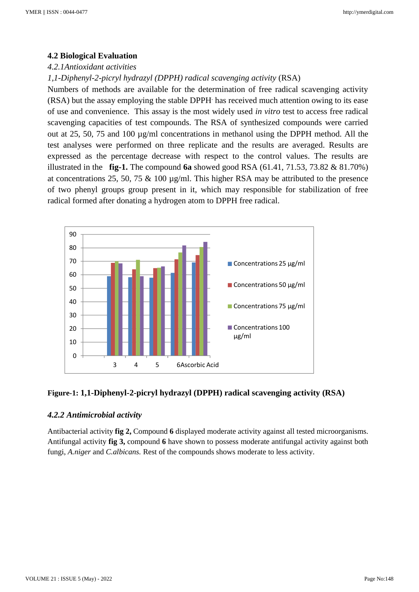#### **4.2 Biological Evaluation**

#### *4.2.1Antioxidant activities*

#### *1,1-Diphenyl-2-picryl hydrazyl (DPPH) radical scavenging activity* (RSA)

Numbers of methods are available for the determination of free radical scavenging activity (RSA) but the assay employing the stable DPPH. has received much attention owing to its ease of use and convenience. This assay is the most widely used *in vitro* test to access free radical scavenging capacities of test compounds. The RSA of synthesized compounds were carried out at 25, 50, 75 and 100 µg/ml concentrations in methanol using the DPPH method. All the test analyses were performed on three replicate and the results are averaged. Results are expressed as the percentage decrease with respect to the control values. The results are illustrated in the **fig-1.** The compound **6a** showed good RSA (61.41, 71.53, 73.82 & 81.70%) at concentrations 25, 50, 75 & 100 µg/ml. This higher RSA may be attributed to the presence of two phenyl groups group present in it, which may responsible for stabilization of free radical formed after donating a hydrogen atom to DPPH free radical.



## **Figure-1: 1,1-Diphenyl-2-picryl hydrazyl (DPPH) radical scavenging activity (RSA)**

#### *4.2.2 Antimicrobial activity*

Antibacterial activity **fig 2,** Compound **6** displayed moderate activity against all tested microorganisms. Antifungal activity **fig 3,** compound **6** have shown to possess moderate antifungal activity against both fungi, *A.niger* and *C.albicans.* Rest of the compounds shows moderate to less activity.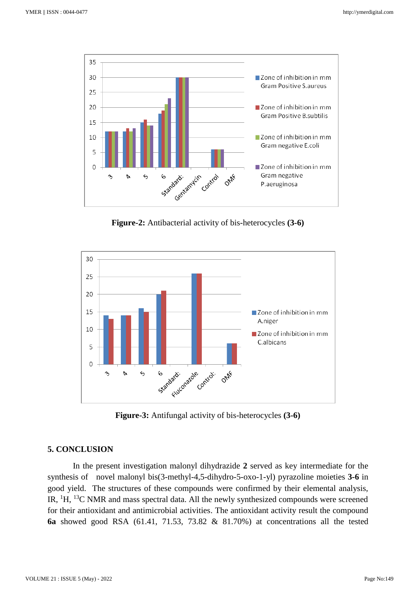

**Figure-2:** Antibacterial activity of bis-heterocycles **(3-6)**



**Figure-3:** Antifungal activity of bis-heterocycles **(3-6)**

## **5. CONCLUSION**

In the present investigation malonyl dihydrazide **2** served as key intermediate for the synthesis of novel malonyl bis(3-methyl-4,5-dihydro-5-oxo-1-yl) pyrazoline moieties **3-6** in good yield. The structures of these compounds were confirmed by their elemental analysis, IR, <sup>1</sup>H, <sup>13</sup>C NMR and mass spectral data. All the newly synthesized compounds were screened for their antioxidant and antimicrobial activities. The antioxidant activity result the compound **6a** showed good RSA (61.41, 71.53, 73.82 & 81.70%) at concentrations all the tested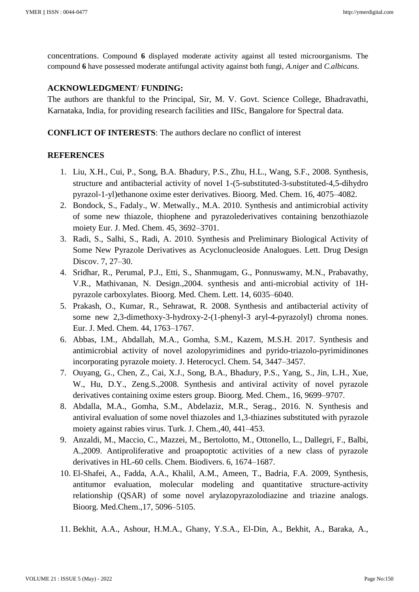concentrations. Compound **6** displayed moderate activity against all tested microorganisms. The compound **6** have possessed moderate antifungal activity against both fungi, *A.niger* and *C.albicans.*

## **ACKNOWLEDGMENT**/ **FUNDING:**

The authors are thankful to the Principal, Sir, M. V. Govt. Science College, Bhadravathi, Karnataka, India, for providing research facilities and IISc, Bangalore for Spectral data.

**CONFLICT OF INTERESTS**: The authors declare no conflict of interest

#### **REFERENCES**

- 1. Liu, X.H., Cui, P., Song, B.A. Bhadury, P.S., Zhu, H.L., Wang, S.F., 2008. Synthesis, structure and antibacterial activity of novel 1-(5-substituted-3-substituted-4,5-dihydro pyrazol-1-yl)ethanone oxime ester derivatives. Bioorg. Med. Chem. 16, 4075–4082.
- 2. Bondock, S., Fadaly., W. Metwally., M.A. 2010. Synthesis and antimicrobial activity of some new thiazole, thiophene and pyrazolederivatives containing benzothiazole moiety Eur. J. Med. Chem. 45, 3692–3701.
- 3. Radi, S., Salhi, S., Radi, A. 2010. Synthesis and Preliminary Biological Activity of Some New Pyrazole Derivatives as Acyclonucleoside Analogues. Lett. Drug Design Discov. 7, 27–30.
- 4. Sridhar, R., Perumal, P.J., Etti, S., Shanmugam, G., Ponnuswamy, M.N., Prabavathy, V.R., Mathivanan, N. Design.,2004. synthesis and anti-microbial activity of 1Hpyrazole carboxylates. Bioorg. Med. Chem. Lett. 14, 6035–6040.
- 5. Prakash, O., Kumar, R., Sehrawat, R. 2008. Synthesis and antibacterial activity of some new 2,3-dimethoxy-3-hydroxy-2-(1-phenyl-3 aryl-4-pyrazolyl) chroma nones. Eur. J. Med. Chem. 44, 1763–1767.
- 6. Abbas, I.M., Abdallah, M.A., Gomha, S.M., Kazem, M.S.H. 2017. Synthesis and antimicrobial activity of novel azolopyrimidines and pyrido-triazolo-pyrimidinones incorporating pyrazole moiety. J. Heterocycl. Chem. 54, 3447–3457.
- 7. Ouyang, G., Chen, Z., Cai, X.J., Song, B.A., Bhadury, P.S., Yang, S., Jin, L.H., Xue, W., Hu, D.Y., Zeng.S.,2008. Synthesis and antiviral activity of novel pyrazole derivatives containing oxime esters group. Bioorg. Med. Chem., 16, 9699–9707.
- 8. Abdalla, M.A., Gomha, S.M., Abdelaziz, M.R., Serag., 2016. N. Synthesis and antiviral evaluation of some novel thiazoles and 1,3-thiazines substituted with pyrazole moiety against rabies virus. Turk. J. Chem.,40, 441–453.
- 9. Anzaldi, M., Maccio, C., Mazzei, M., Bertolotto, M., Ottonello, L., Dallegri, F., Balbi, A.,2009. Antiproliferative and proapoptotic activities of a new class of pyrazole derivatives in HL-60 cells. Chem. Biodivers. 6, 1674–1687.
- 10. El-Shafei, A., Fadda, A.A., Khalil, A.M., Ameen, T., Badria, F.A. 2009, Synthesis, antitumor evaluation, molecular modeling and quantitative structure-activity relationship (QSAR) of some novel arylazopyrazolodiazine and triazine analogs. Bioorg. Med.Chem.,17, 5096–5105.
- 11. Bekhit, A.A., Ashour, H.M.A., Ghany, Y.S.A., El-Din, A., Bekhit, A., Baraka, A.,